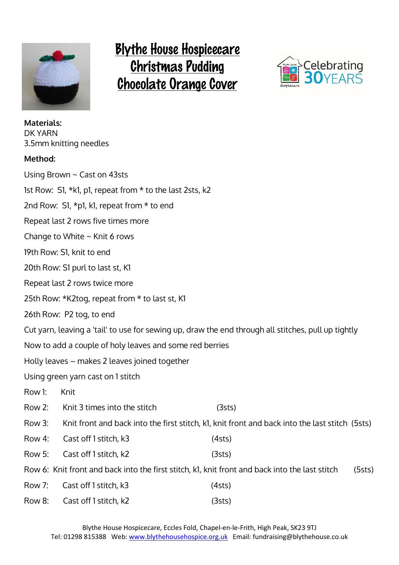

### **Blythe House Hospicecare Christmas Pudding Chocolate Orange Cover**



| <b>Materials:</b><br>DK YARN | 3.5mm knitting needles                                   |                                                                                                     |        |
|------------------------------|----------------------------------------------------------|-----------------------------------------------------------------------------------------------------|--------|
| Method:                      |                                                          |                                                                                                     |        |
|                              | Using Brown $\sim$ Cast on 43sts                         |                                                                                                     |        |
|                              | 1st Row: S1, *k1, p1, repeat from * to the last 2sts, k2 |                                                                                                     |        |
|                              | 2nd Row: S1, *p1, k1, repeat from * to end               |                                                                                                     |        |
|                              | Repeat last 2 rows five times more                       |                                                                                                     |        |
|                              | Change to White $\sim$ Knit 6 rows                       |                                                                                                     |        |
|                              | 19th Row: S1, knit to end                                |                                                                                                     |        |
|                              | 20th Row: S1 purl to last st, K1                         |                                                                                                     |        |
|                              | Repeat last 2 rows twice more                            |                                                                                                     |        |
|                              | 25th Row: *K2tog, repeat from * to last st, K1           |                                                                                                     |        |
|                              | 26th Row: P2 tog, to end                                 |                                                                                                     |        |
|                              |                                                          | Cut yarn, leaving a 'tail' to use for sewing up, draw the end through all stitches, pull up tightly |        |
|                              | Now to add a couple of holy leaves and some red berries  |                                                                                                     |        |
|                              | Holly leaves – makes 2 leaves joined together            |                                                                                                     |        |
|                              | Using green yarn cast on 1 stitch                        |                                                                                                     |        |
| Row 1:                       | Knit                                                     |                                                                                                     |        |
|                              | Row 2: Knit 3 times into the stitch                      | (3sts)                                                                                              |        |
| Row 3:                       |                                                          | Knit front and back into the first stitch, k1, knit front and back into the last stitch (5sts)      |        |
| Row 4:                       | Cast off 1 stitch, k3                                    | (4sts)                                                                                              |        |
| Row 5:                       | Cast off 1 stitch, k2                                    | (3sts)                                                                                              |        |
|                              |                                                          | Row 6: Knit front and back into the first stitch, k1, knit front and back into the last stitch      | (5sts) |
| Row 7:                       | Cast off 1 stitch, k3                                    | (4sts)                                                                                              |        |
| Row 8:                       | Cast off 1 stitch, k2                                    | (3sts)                                                                                              |        |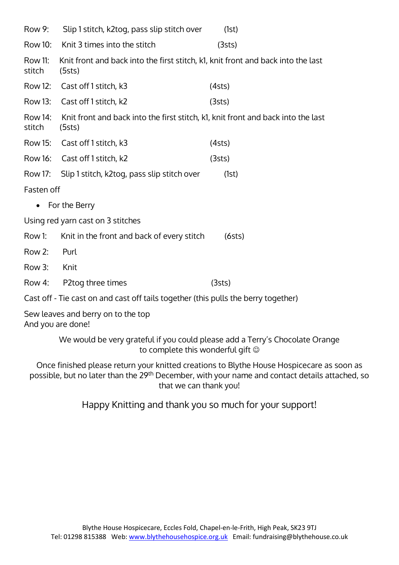| Row 9:            | Slip 1 stitch, k2tog, pass slip stitch over                                                | (1st)  |
|-------------------|--------------------------------------------------------------------------------------------|--------|
| Row 10:           | Knit 3 times into the stitch                                                               | (3sts) |
| Row 11:<br>stitch | Knit front and back into the first stitch, k1, knit front and back into the last<br>(5sts) |        |
|                   | Row 12: Cast off 1 stitch, k3                                                              | (4sts) |
|                   | Row 13: Cast off 1 stitch, k2                                                              | (3sts) |
| Row 14:<br>stitch | Knit front and back into the first stitch, k1, knit front and back into the last<br>(5sts) |        |
|                   | Row 15: Cast off 1 stitch, k3                                                              | (4sts) |
|                   | Row 16: Cast off 1 stitch, k2                                                              | (3sts) |
| Row 17:           | Slip 1 stitch, k2tog, pass slip stitch over                                                | (1st)  |
| Fasten off        |                                                                                            |        |
| $\bullet$         | For the Berry                                                                              |        |
|                   | Using red yarn cast on 3 stitches                                                          |        |
| Row 1:            | Knit in the front and back of every stitch                                                 | (6sts) |
| Row 2:            | Purl                                                                                       |        |
| Row 3:            | Knit                                                                                       |        |
| Row 4:            | P2tog three times                                                                          | (3sts) |
|                   | Cast off - Tie cast on and cast off tails together (this pulls the berry together)         |        |
|                   | Sew leaves and berry on to the top                                                         |        |

And you are done!

We would be very grateful if you could please add a Terry's Chocolate Orange to complete this wonderful gift

Once finished please return your knitted creations to Blythe House Hospicecare as soon as possible, but no later than the 29th December, with your name and contact details attached, so that we can thank you!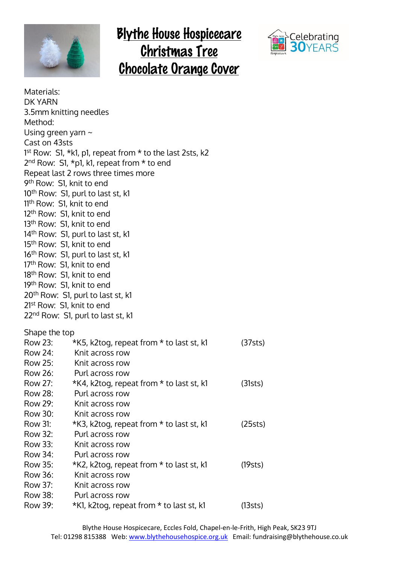

#### **Blythe House Hospicecare Christmas Tree Chocolate Orange Cover**



| Materials:                            |                                                                      |         |
|---------------------------------------|----------------------------------------------------------------------|---------|
| DK YARN                               |                                                                      |         |
| 3.5mm knitting needles                |                                                                      |         |
| Method:                               |                                                                      |         |
| Using green yarn $\sim$               |                                                                      |         |
| Cast on 43sts                         |                                                                      |         |
|                                       | 1 <sup>st</sup> Row: S1, *k1, p1, repeat from * to the last 2sts, k2 |         |
|                                       | $2nd$ Row: S1, *p1, k1, repeat from * to end                         |         |
|                                       | Repeat last 2 rows three times more                                  |         |
| 9 <sup>th</sup> Row: S1, knit to end  |                                                                      |         |
|                                       | 10 <sup>th</sup> Row: S1, purl to last st, k1                        |         |
| 11th Row: S1, knit to end             |                                                                      |         |
| 12 <sup>th</sup> Row: S1, knit to end |                                                                      |         |
| 13 <sup>th</sup> Row: S1, knit to end |                                                                      |         |
|                                       | 14 <sup>th</sup> Row: S1, purl to last st, k1                        |         |
| 15 <sup>th</sup> Row: S1, knit to end |                                                                      |         |
|                                       | 16 <sup>th</sup> Row: S1, purl to last st, k1                        |         |
| 17 <sup>th</sup> Row: S1, knit to end |                                                                      |         |
| 18 <sup>th</sup> Row: S1, knit to end |                                                                      |         |
| 19th Row: S1, knit to end             |                                                                      |         |
|                                       | 20 <sup>th</sup> Row: S1, purl to last st, k1                        |         |
| 21 <sup>st</sup> Row: S1, knit to end |                                                                      |         |
|                                       | 22 <sup>nd</sup> Row: S1, purl to last st, k1                        |         |
|                                       |                                                                      |         |
| Shape the top                         |                                                                      |         |
| Row 23:                               | *K5, k2tog, repeat from * to last st, k1                             | (37sts) |
|                                       | Row 24: Knit across row                                              |         |
| Row 25:                               | Knit across row<br>Purl across row                                   |         |
| Row 26:                               |                                                                      |         |
| Row 27:                               | *K4, k2tog, repeat from * to last st, k1<br>Purl across row          | (31sts) |
| Row 28:<br>Row 29:                    |                                                                      |         |
| Row 30:                               | Knit across row                                                      |         |
| Row 31:                               | Knit across row                                                      |         |
| Row 32:                               | *K3, k2tog, repeat from * to last st, k1<br>Purl across row          | (25sts) |
| Row 33:                               | Knit across row                                                      |         |
| Row 34:                               | Purl across row                                                      |         |
| Row 35:                               |                                                                      |         |
|                                       | *K2, k2tog, repeat from * to last st, k1<br>Knit across row          | (19sts) |
| Row 36:                               |                                                                      |         |
| Row 37:<br>Row 38:                    | Knit across row                                                      |         |
|                                       | Purl across row                                                      |         |
| Row 39:                               | *K1, k2tog, repeat from * to last st, k1                             | (13sts) |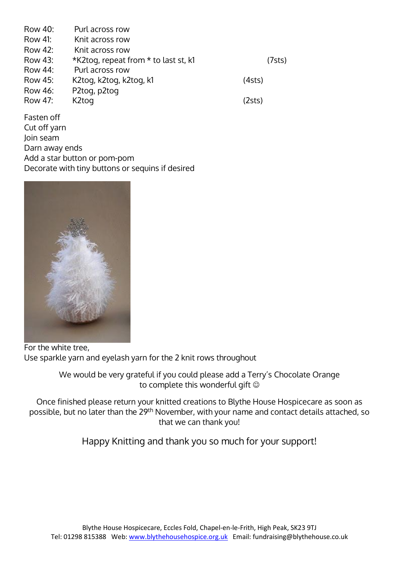| Row 40: | Purl across row                      |        |
|---------|--------------------------------------|--------|
| Row 41: | Knit across row                      |        |
| Row 42: | Knit across row                      |        |
| Row 43: | *K2tog, repeat from * to last st, k1 | (7sts) |
| Row 44: | Purl across row                      |        |
| Row 45: | K2tog, k2tog, k2tog, k1              | (4sts) |
| Row 46: | P2tog, p2tog                         |        |
| Row 47: | K2tog                                | (2sts) |
|         |                                      |        |

Fasten off Cut off yarn Join seam Darn away ends Add a star button or pom-pom Decorate with tiny buttons or sequins if desired



For the white tree, Use sparkle yarn and eyelash yarn for the 2 knit rows throughout

We would be very grateful if you could please add a Terry's Chocolate Orange to complete this wonderful gift  $\odot$ 

Once finished please return your knitted creations to Blythe House Hospicecare as soon as possible, but no later than the 29th November, with your name and contact details attached, so that we can thank you!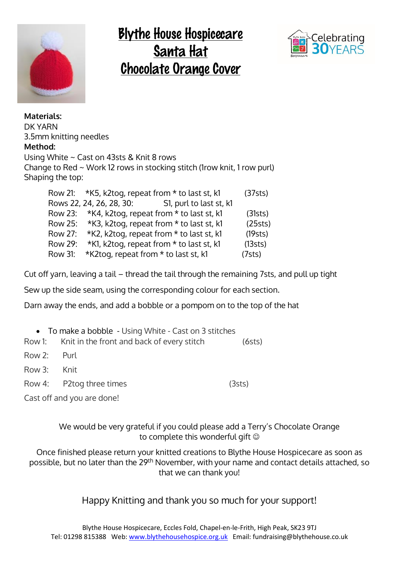

# **Blythe House Hospicecare** Santa Hat<br>Chocolate Orange Cover



**Materials:** DK YARN 3.5mm knitting needles **Method:**  Using White ~ Cast on 43sts & Knit 8 rows Change to Red ~ Work 12 rows in stocking stitch (1row knit, 1 row purl) Shaping the top:

|         | Row 21: *K5, k2tog, repeat from * to last st, k1    | (37sts) |
|---------|-----------------------------------------------------|---------|
|         | Rows 22, 24, 26, 28, 30:<br>S1, purl to last st, k1 |         |
|         | Row 23: *K4, k2tog, repeat from * to last st, k1    | (31sts) |
| Row 25: | *K3, k2tog, repeat from * to last st, k1            | (25sts) |
| Row 27: | *K2, k2tog, repeat from * to last st, k1            | (19sts) |
| Row 29: | *K1, k2tog, repeat from * to last st, k1            | (13sts) |
| Row 31: | *K2tog, repeat from * to last st, k1                | (7sts)  |

Cut off yarn, leaving a tail – thread the tail through the remaining 7sts, and pull up tight

Sew up the side seam, using the corresponding colour for each section.

Darn away the ends, and add a bobble or a pompom on to the top of the hat

|                            | • To make a bobble - Using White - Cast on 3 stitches |        |
|----------------------------|-------------------------------------------------------|--------|
|                            | Row 1: Knit in the front and back of every stitch     | (6sts) |
| Row 2: Purl                |                                                       |        |
| Row 3: Knit                |                                                       |        |
|                            | Row 4: P2tog three times                              | (3sts) |
| Cast off and you are done! |                                                       |        |

We would be very grateful if you could please add a Terry's Chocolate Orange to complete this wonderful gift

Once finished please return your knitted creations to Blythe House Hospicecare as soon as possible, but no later than the 29<sup>th</sup> November, with your name and contact details attached, so that we can thank you!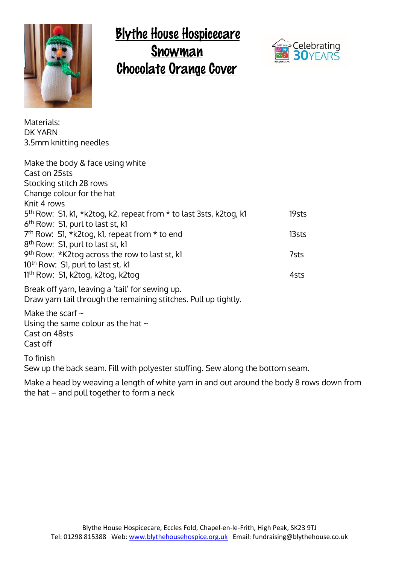

## **Blythe House Hospicecare** Snowman **Chocolate Orange Cover**



Materials: DK YARN 3.5mm knitting needles

| Make the body & face using white                                               |       |
|--------------------------------------------------------------------------------|-------|
| Cast on 25sts                                                                  |       |
| Stocking stitch 28 rows                                                        |       |
| Change colour for the hat                                                      |       |
| Knit 4 rows                                                                    |       |
| 5 <sup>th</sup> Row: S1, k1, *k2tog, k2, repeat from * to last 3sts, k2tog, k1 | 19sts |
| 6 <sup>th</sup> Row: S1, purl to last st, k1                                   |       |
| $7th$ Row: S1, *k2tog, k1, repeat from * to end                                | 13sts |
| 8 <sup>th</sup> Row: S1, purl to last st, k1                                   |       |
| 9 <sup>th</sup> Row: *K2tog across the row to last st, k1                      | 7sts  |
| 10 <sup>th</sup> Row: S1, purl to last st, k1                                  |       |
| 11 <sup>th</sup> Row: S1, k2tog, k2tog, k2tog                                  | 4sts  |
| $D_{\text{rank}}$ off vary looving oftail for coving up                        |       |

Break off yarn, leaving a 'tail' for sewing up. Draw yarn tail through the remaining stitches. Pull up tightly.

Make the scarf  $\sim$ Using the same colour as the hat  $\sim$ Cast on 48sts Cast off

To finish

Sew up the back seam. Fill with polyester stuffing. Sew along the bottom seam.

Make a head by weaving a length of white yarn in and out around the body 8 rows down from the hat – and pull together to form a neck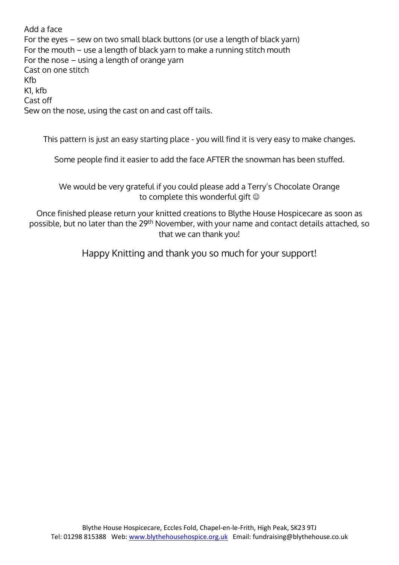Add a face For the eyes – sew on two small black buttons (or use a length of black yarn) For the mouth – use a length of black yarn to make a running stitch mouth For the nose – using a length of orange yarn Cast on one stitch Kfb K1, kfb Cast off Sew on the nose, using the cast on and cast off tails.

This pattern is just an easy starting place - you will find it is very easy to make changes.

Some people find it easier to add the face AFTER the snowman has been stuffed.

We would be very grateful if you could please add a Terry's Chocolate Orange to complete this wonderful gift

Once finished please return your knitted creations to Blythe House Hospicecare as soon as possible, but no later than the 29th November, with your name and contact details attached, so that we can thank you!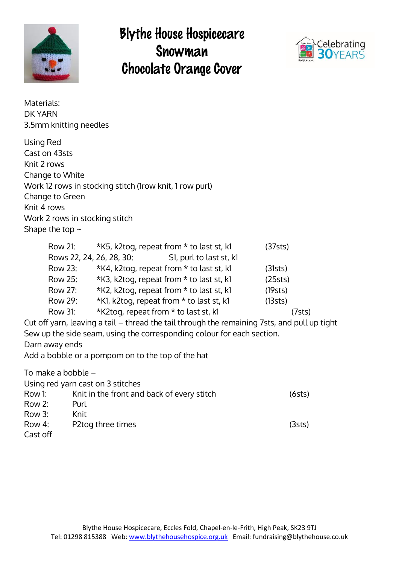

## **Blythe House Hospicecare** Snowman **Chocolate Orange Cover**



| Materials:<br><b>DK YARN</b><br>3.5mm knitting needles                                                                 |                                                   |                                                                                                                                                                                                                                                                                                                                                                                                                            |                                                                                                                                                               |
|------------------------------------------------------------------------------------------------------------------------|---------------------------------------------------|----------------------------------------------------------------------------------------------------------------------------------------------------------------------------------------------------------------------------------------------------------------------------------------------------------------------------------------------------------------------------------------------------------------------------|---------------------------------------------------------------------------------------------------------------------------------------------------------------|
| Using Red<br>Cast on 43sts<br>Knit 2 rows<br>Change to White<br>Change to Green<br>Knit 4 rows<br>Shape the top $\sim$ | Work 2 rows in stocking stitch                    | Work 12 rows in stocking stitch (1row knit, 1 row purl)                                                                                                                                                                                                                                                                                                                                                                    |                                                                                                                                                               |
| <b>Row 21:</b><br>Row 23:<br>Row 25:<br>Row 27:<br><b>Row 29:</b><br><b>Row 31:</b><br>Darn away ends                  | Rows 22, 24, 26, 28, 30:                          | *K5, k2tog, repeat from * to last st, k1<br>S1, purl to last st, k1<br>*K4, k2tog, repeat from * to last st, k1<br>*K3, k2tog, repeat from * to last st, k1<br>*K2, k2tog, repeat from * to last st, k1<br>*K1, k2tog, repeat from * to last st, k1<br>*K2tog, repeat from * to last st, k1<br>Sew up the side seam, using the corresponding colour for each section.<br>Add a bobble or a pompom on to the top of the hat | (37sts)<br>(31sts)<br>(25sts)<br>(19sts)<br>(13sts)<br>(7sts)<br>Cut off yarn, leaving a tail – thread the tail through the remaining 7sts, and pull up tight |
| To make a bobble -<br>Row 1:<br>Row 2:<br>Row 3:                                                                       | Using red yarn cast on 3 stitches<br>Purl<br>Knit | Knit in the front and back of every stitch                                                                                                                                                                                                                                                                                                                                                                                 | (6sts)                                                                                                                                                        |
| Row 4:<br>Cast off                                                                                                     | P2tog three times                                 |                                                                                                                                                                                                                                                                                                                                                                                                                            | (3sts)                                                                                                                                                        |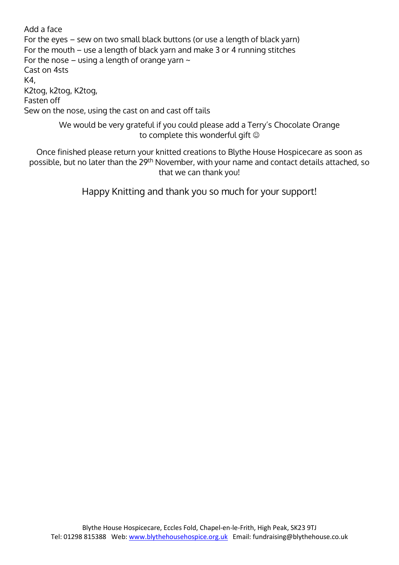Add a face For the eyes – sew on two small black buttons (or use a length of black yarn) For the mouth – use a length of black yarn and make 3 or 4 running stitches For the nose – using a length of orange yarn  $\sim$ Cast on 4sts K4, K2tog, k2tog, K2tog, Fasten off Sew on the nose, using the cast on and cast off tails

> We would be very grateful if you could please add a Terry's Chocolate Orange to complete this wonderful gift

Once finished please return your knitted creations to Blythe House Hospicecare as soon as possible, but no later than the 29<sup>th</sup> November, with your name and contact details attached, so that we can thank you!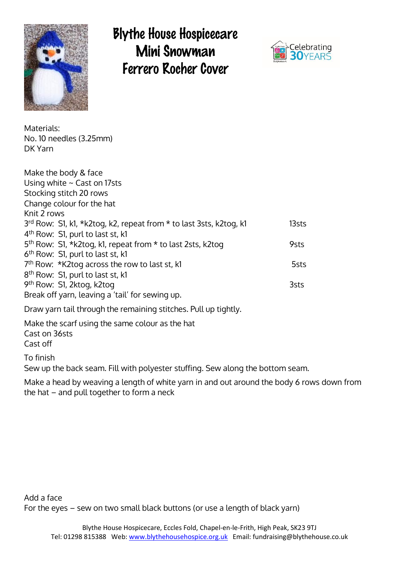

### **Blythe House Hospicecare** Mini Snowman Ferrero Rocher Cover



Materials: No. 10 needles (3.25mm) DK Yarn

| Make the body & face<br>Using white $\sim$ Cast on 17sts<br>Stocking stitch 20 rows |       |
|-------------------------------------------------------------------------------------|-------|
| Change colour for the hat                                                           |       |
| Knit 2 rows                                                                         |       |
| 3rd Row: S1, k1, *k2tog, k2, repeat from * to last 3sts, k2tog, k1                  | 13sts |
| 4 <sup>th</sup> Row: S1, purl to last st, k1                                        |       |
| 5 <sup>th</sup> Row: S1, *k2tog, k1, repeat from * to last 2sts, k2tog              | 9sts  |
| 6 <sup>th</sup> Row: S1, purl to last st, k1                                        |       |
| 7 <sup>th</sup> Row: *K2tog across the row to last st, k1                           | 5sts  |
| 8 <sup>th</sup> Row: S1, purl to last st, k1                                        |       |
| 9 <sup>th</sup> Row: S1, 2ktog, k2tog                                               | 3sts  |
| Break off yarn, leaving a 'tail' for sewing up.                                     |       |
|                                                                                     |       |

Draw yarn tail through the remaining stitches. Pull up tightly.

Make the scarf using the same colour as the hat Cast on 36sts

Cast off

To finish

Sew up the back seam. Fill with polyester stuffing. Sew along the bottom seam.

Make a head by weaving a length of white yarn in and out around the body 6 rows down from the hat – and pull together to form a neck

Add a face For the eyes – sew on two small black buttons (or use a length of black yarn)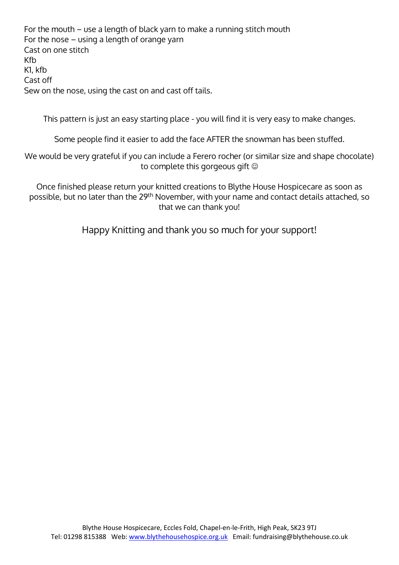For the mouth – use a length of black yarn to make a running stitch mouth For the nose – using a length of orange yarn Cast on one stitch Kfb K1, kfb Cast off Sew on the nose, using the cast on and cast off tails.

This pattern is just an easy starting place - you will find it is very easy to make changes.

Some people find it easier to add the face AFTER the snowman has been stuffed.

We would be very grateful if you can include a Ferero rocher (or similar size and shape chocolate) to complete this gorgeous gift

Once finished please return your knitted creations to Blythe House Hospicecare as soon as possible, but no later than the 29<sup>th</sup> November, with your name and contact details attached, so that we can thank you!